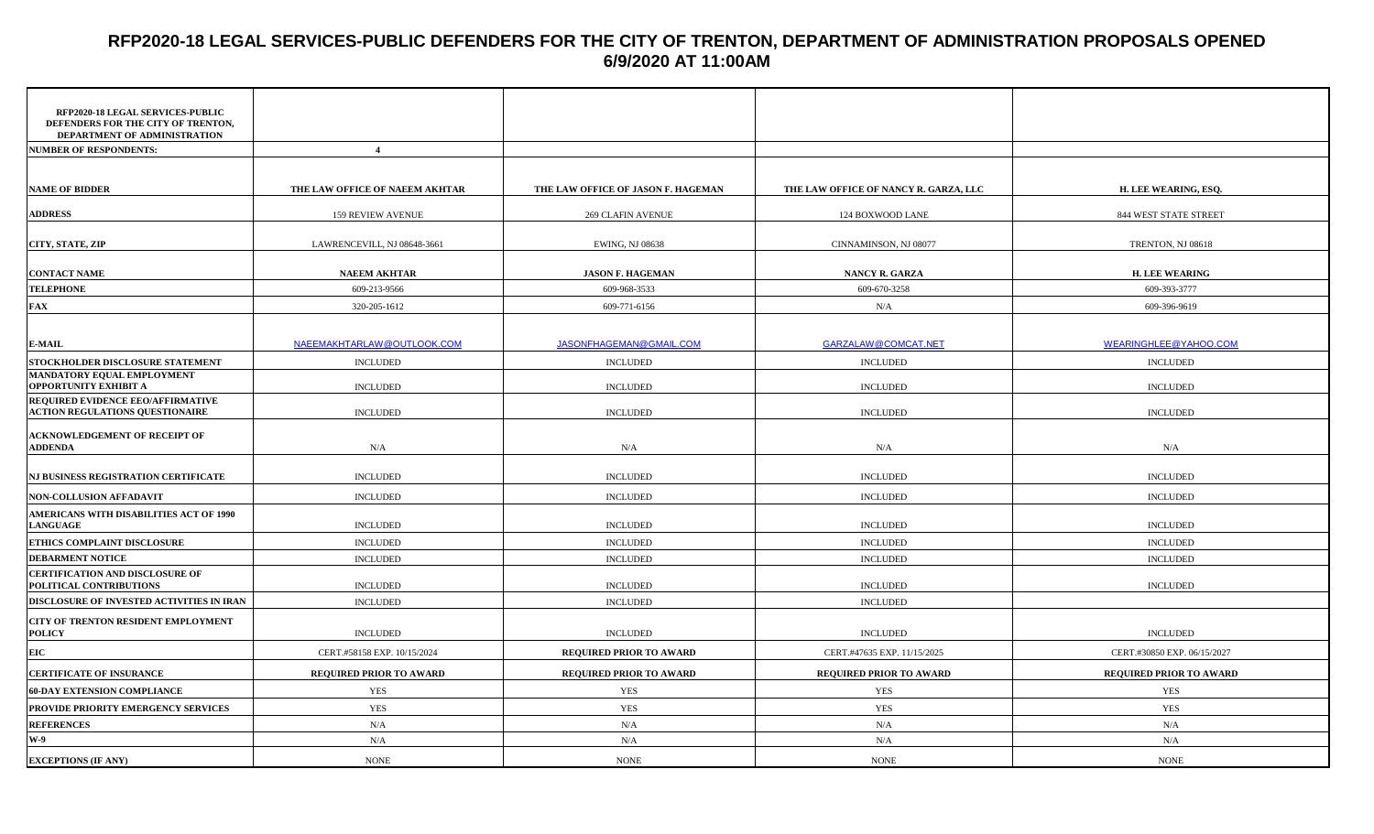## **RFP2020-18 LEGAL SERVICES-PUBLIC DEFENDERS FOR THE CITY OF TRENTON, DEPARTMENT OF ADMINISTRATION PROPOSALS OPENED 6/9/2020 AT 11:00AM**

| RFP2020-18 LEGAL SERVICES-PUBLIC<br>DEFENDERS FOR THE CITY OF TRENTON,<br>DEPARTMENT OF ADMINISTRATION |                                |                                    |                                       |                             |
|--------------------------------------------------------------------------------------------------------|--------------------------------|------------------------------------|---------------------------------------|-----------------------------|
| <b>NUMBER OF RESPONDENTS:</b>                                                                          | $\overline{4}$                 |                                    |                                       |                             |
| <b>NAME OF BIDDER</b>                                                                                  | THE LAW OFFICE OF NAEEM AKHTAR | THE LAW OFFICE OF JASON F. HAGEMAN | THE LAW OFFICE OF NANCY R. GARZA, LLC | H. LEE WEARING, ESQ.        |
| <b>ADDRESS</b>                                                                                         | 159 REVIEW AVENUE              | <b>269 CLAFIN AVENUE</b>           | 124 BOXWOOD LANE                      | 844 WEST STATE STREET       |
| CITY, STATE, ZIP                                                                                       | LAWRENCEVILL, NJ 08648-3661    | EWING, NJ 08638                    | CINNAMINSON, NJ 08077                 | TRENTON, NJ 08618           |
| <b>CONTACT NAME</b>                                                                                    | <b>NAEEM AKHTAR</b>            | <b>JASON F. HAGEMAN</b>            | NANCY R. GARZA                        | <b>H. LEE WEARING</b>       |
| <b>TELEPHONE</b>                                                                                       | 609-213-9566                   | 609-968-3533                       | 609-670-3258                          | 609-393-3777                |
| <b>FAX</b>                                                                                             | 320-205-1612                   | 609-771-6156                       | N/A                                   | 609-396-9619                |
| <b>E-MAIL</b>                                                                                          | NAEEMAKHTARLAW@OUTLOOK.COM     | JASONFHAGEMAN@GMAIL.COM            | <b>GARZALAW@COMCAT.NET</b>            | WEARINGHLEE@YAHOO.COM       |
| STOCKHOLDER DISCLOSURE STATEMENT                                                                       | <b>INCLUDED</b>                | <b>INCLUDED</b>                    | <b>INCLUDED</b>                       | <b>INCLUDED</b>             |
| MANDATORY EQUAL EMPLOYMENT<br>OPPORTUNITY EXHIBIT A                                                    | INCLUDED                       | <b>INCLUDED</b>                    | <b>INCLUDED</b>                       | <b>INCLUDED</b>             |
| REQUIRED EVIDENCE EEO/AFFIRMATIVE<br><b>ACTION REGULATIONS QUESTIONAIRE</b>                            | <b>INCLUDED</b>                | <b>INCLUDED</b>                    | <b>INCLUDED</b>                       | <b>INCLUDED</b>             |
| <b>ACKNOWLEDGEMENT OF RECEIPT OF</b><br><b>ADDENDA</b>                                                 | N/A                            | N/A                                | N/A                                   | N/A                         |
| NJ BUSINESS REGISTRATION CERTIFICATE                                                                   | <b>INCLUDED</b>                | <b>INCLUDED</b>                    | <b>INCLUDED</b>                       | <b>INCLUDED</b>             |
| <b>NON-COLLUSION AFFADAVIT</b>                                                                         | <b>INCLUDED</b>                | <b>INCLUDED</b>                    | <b>INCLUDED</b>                       | <b>INCLUDED</b>             |
| AMERICANS WITH DISABILITIES ACT OF 1990<br><b>LANGUAGE</b>                                             | <b>INCLUDED</b>                | <b>INCLUDED</b>                    | <b>INCLUDED</b>                       | <b>INCLUDED</b>             |
| ETHICS COMPLAINT DISCLOSURE                                                                            | <b>INCLUDED</b>                | <b>INCLUDED</b>                    | <b>INCLUDED</b>                       | <b>INCLUDED</b>             |
| <b>DEBARMENT NOTICE</b>                                                                                | <b>INCLUDED</b>                | <b>INCLUDED</b>                    | <b>INCLUDED</b>                       | <b>INCLUDED</b>             |
| <b>CERTIFICATION AND DISCLOSURE OF</b><br>POLITICAL CONTRIBUTIONS                                      | <b>INCLUDED</b>                | <b>INCLUDED</b>                    | <b>INCLUDED</b>                       | <b>INCLUDED</b>             |
| DISCLOSURE OF INVESTED ACTIVITIES IN IRAN                                                              | <b>INCLUDED</b>                | <b>INCLUDED</b>                    | <b>INCLUDED</b>                       |                             |
| CITY OF TRENTON RESIDENT EMPLOYMENT<br><b>POLICY</b>                                                   | <b>INCLUDED</b>                | <b>INCLUDED</b>                    | <b>INCLUDED</b>                       | <b>INCLUDED</b>             |
| EIC                                                                                                    | CERT.#58158 EXP. 10/15/2024    | REQUIRED PRIOR TO AWARD            | CERT.#47635 EXP. 11/15/2025           | CERT.#30850 EXP. 06/15/2027 |
| <b>CERTIFICATE OF INSURANCE</b>                                                                        | REQUIRED PRIOR TO AWARD        | <b>REQUIRED PRIOR TO AWARD</b>     | REQUIRED PRIOR TO AWARD               | REQUIRED PRIOR TO AWARD     |
| <b>60-DAY EXTENSION COMPLIANCE</b>                                                                     | YES                            | YES                                | YES                                   | <b>YES</b>                  |
| PROVIDE PRIORITY EMERGENCY SERVICES                                                                    | <b>YES</b>                     | <b>YES</b>                         | <b>YES</b>                            | <b>YES</b>                  |
| <b>REFERENCES</b>                                                                                      | $\rm N/A$                      | N/A                                | N/A                                   | N/A                         |
| W-9                                                                                                    | N/A                            | N/A                                | N/A                                   | N/A                         |
| <b>EXCEPTIONS (IF ANY)</b>                                                                             | <b>NONE</b>                    | <b>NONE</b>                        | <b>NONE</b>                           | <b>NONE</b>                 |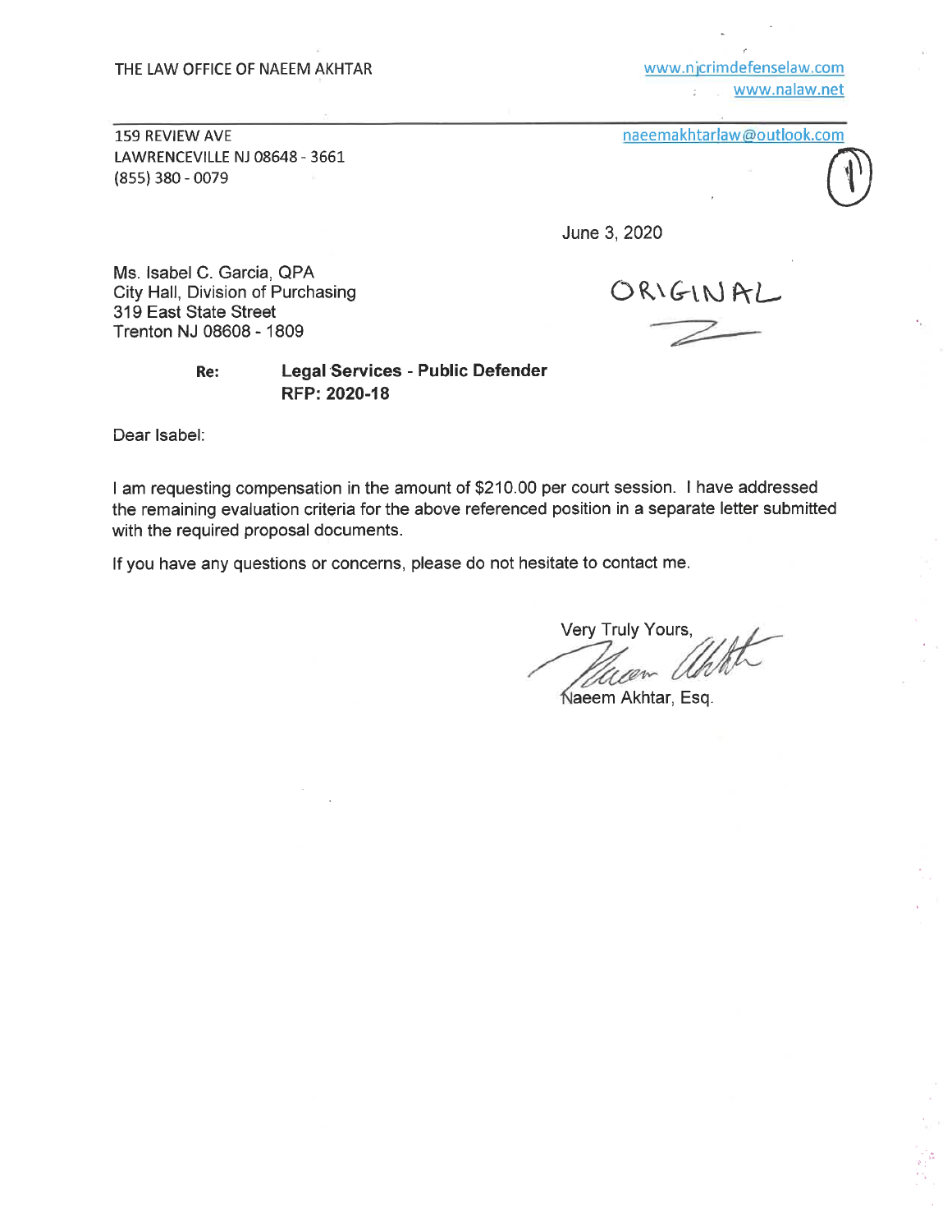www.njcrimdefenselaw.com www.nalaw.net

159 REVIEW AVE LAWRENCEVILLE NJ 08648 - 3661  $(855)$  380 - 0079

| naeemakhtarlaw@outlook.com |  |  |  |  |
|----------------------------|--|--|--|--|
|----------------------------|--|--|--|--|



June 3, 2020

Ms. Isabel C. Garcia, QPA City Hall, Division of Purchasing 319 East State Street Trenton NJ 08608 - 1809

ORIGINAL

#### **Legal Services - Public Defender** Re: RFP: 2020-18

Dear Isabel:

I am requesting compensation in the amount of \$210.00 per court session. I have addressed the remaining evaluation criteria for the above referenced position in a separate letter submitted with the required proposal documents.

If you have any questions or concerns, please do not hesitate to contact me.

Very Truly Yours,

Naeem Akhtar, Esq.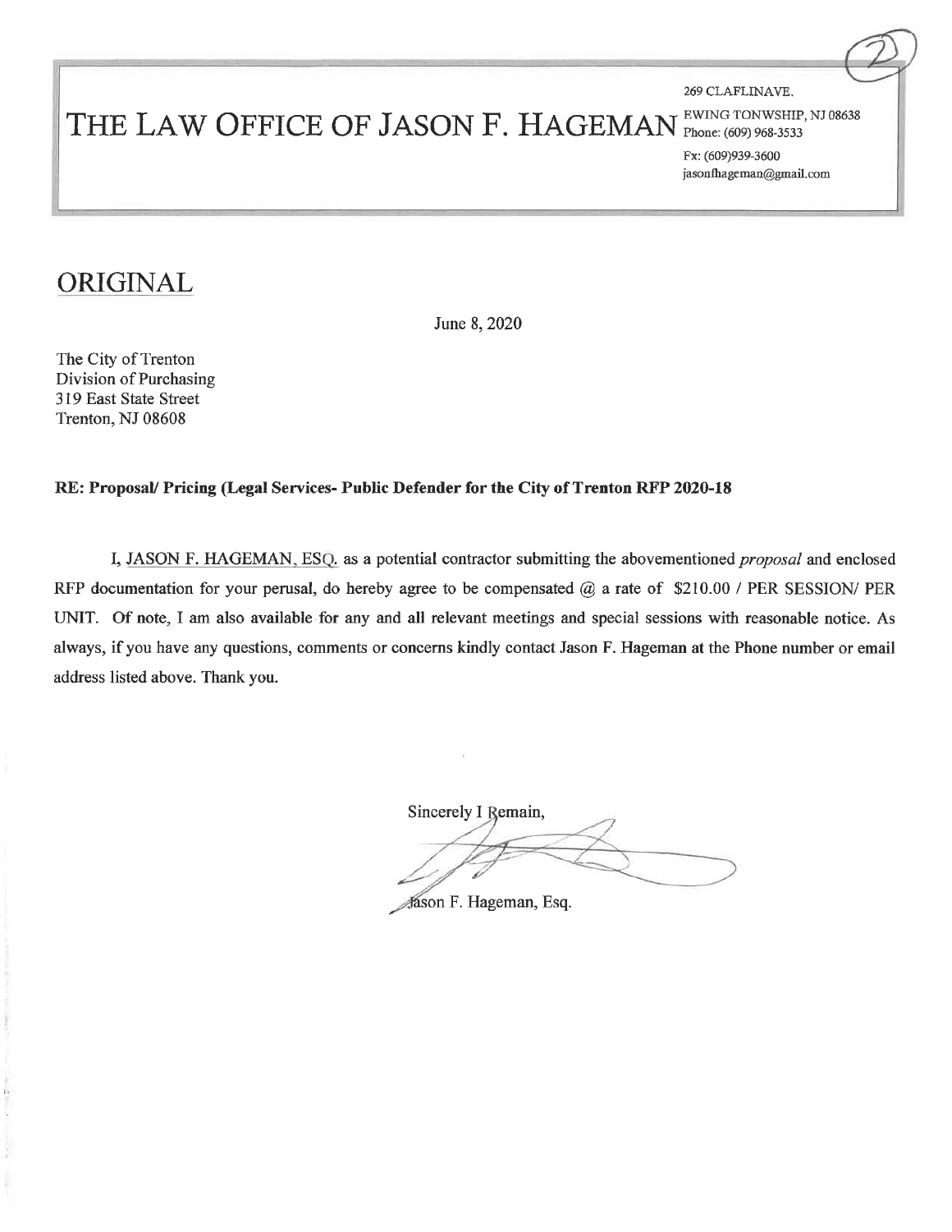269 CLAFLINAVE.

# THE LAW OFFICE OF JASON F. HAGEMAN

EWING TONWSHIP, NJ 08638 Phone: (609) 968-3533

Fx: (609)939-3600 jasonfhageman@gmail.com

## ORIGINAL

June 8, 2020

The City of Trenton Division of Purchasing 319 East State Street Trenton, NJ 08608

#### RE: Proposal/ Pricing (Legal Services- Public Defender for the City of Trenton RFP 2020-18

I, JASON F. HAGEMAN, ESQ. as a potential contractor submitting the abovementioned *proposal* and enclosed RFP documentation for your perusal, do hereby agree to be compensated  $@$  a rate of \$210.00 / PER SESSION/ PER UNIT. Of note, I am also available for any and all relevant meetings and special sessions with reasonable notice. As always, if you have any questions, comments or concerns kindly contact Jason F. Hageman at the Phone number or email address listed above. Thank you.

Sincerely I Remain,

Jason F. Hageman, Esq.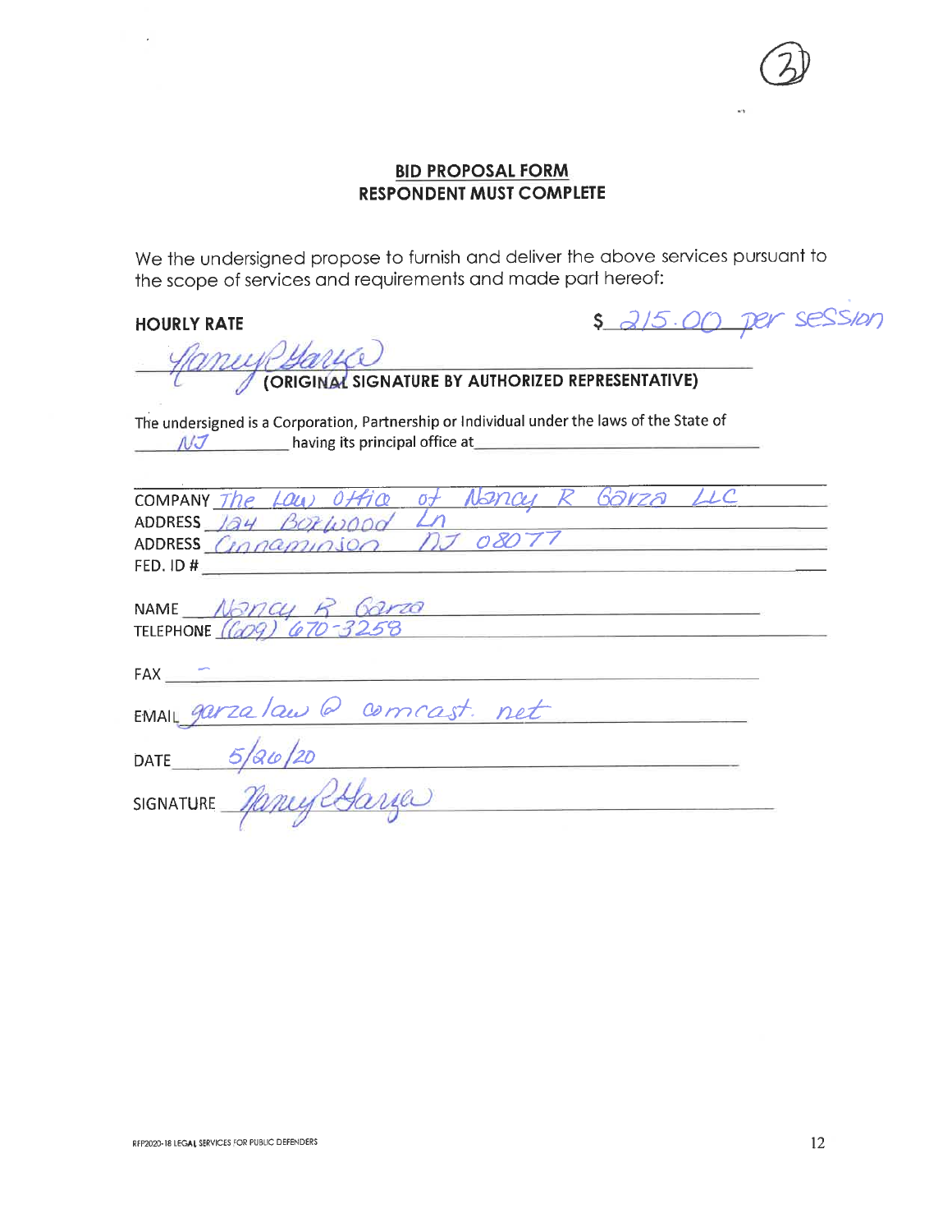

#### **BID PROPOSAL FORM RESPONDENT MUST COMPLETE**

We the undersigned propose to furnish and deliver the above services pursuant to the scope of services and requirements and made part hereof:

#### **HOURLY RATE**

 $\epsilon$ 

\$ 2/5.00 per session

| LUP Harves New AUTHORIZED REPRESENTATIVE)                                                                                                                                                                                                                                                                                              |
|----------------------------------------------------------------------------------------------------------------------------------------------------------------------------------------------------------------------------------------------------------------------------------------------------------------------------------------|
| The undersigned is a Corporation, Partnership or Individual under the laws of the State of<br>$\mathcal{N}\mathcal{J}$ and the basis of the principal office at the contract of the set of the basis of the basis of the basis of the basis of the basis of the basis of the basis of the basis of the basis of the basis of the basis |
| COMPANY The LOW Office of Nancy R Garza LLC<br>ADDRESS 124 BORWOOD Ln<br>ADDRESS Connaminson NJ 08077<br>FED. ID #                                                                                                                                                                                                                     |
| NAME $N\frac{\partial N}{\partial Q}$ R $\frac{\partial N}{\partial Q}$<br>TELEPHONE $(QO9)$ $(Q70 - 3258)$                                                                                                                                                                                                                            |
| FAX <b>FAX FAX FAX FAX FAX FAX FAX FAX FAX FAX FAX FAX FAX FAX FAX FAX FAX FAX FAX FAX FAX FAX FAX FAX FAX FAX FAX FAX FAX FAX FAX FAX FAX FAX FAX FAX F</b>                                                                                                                                                                           |
| EMAIL garzalaw @ comcast. net                                                                                                                                                                                                                                                                                                          |
| DATE $5/80/20$<br><u> 1980 - Johann Harry Harry Harry Harry Harry Harry Harry Harry Harry Harry Harry Harry Harry Harry Harry Harry Harry Harry Harry Harry Harry Harry Harry Harry Harry Harry Harry Harry Harry Harry Harry Harry Harry Harry Ha</u>                                                                                 |
| SIGNATURE Manylyane<br>the control of the control of the control of the                                                                                                                                                                                                                                                                |